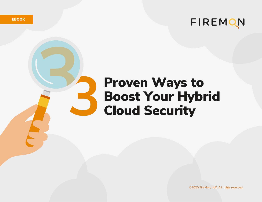FIREMON

# Proven Ways to Boost Your Hybrid Cloud Security

©2020 FireMon, LLC. All rights reserved.

**EBOOK**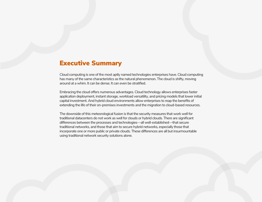### Executive Summary

Cloud computing is one of the most aptly named technologies enterprises have. Cloud computing has many of the same characteristics as the natural phenomenon. The cloud is shifty, moving around at a whim. It can be dense. It can even be stratified.

Embracing the cloud offers numerous advantages. Cloud technology allows enterprises faster application deployment, instant storage, workload versatility, and pricing models that lower initial capital investment. And hybrid cloud environments allow enterprises to reap the benefits of extending the life of their on-premises investments and the migration to cloud-based resources.

The downside of this meteorological fusion is that the security measures that work well for traditional datacenters do not work as well for clouds or hybrid clouds. There are significant differences between the processes and technologies—all well-established—that secure traditional networks, and those that aim to secure hybrid networks, especially those that incorporate one or more public or private clouds. These differences are all but insurmountable using traditional network security solutions alone.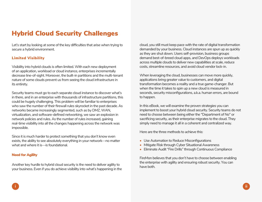### Hybrid Cloud Security Challenges

Let's start by looking at some of the key difficulties that arise when trying to secure a hybrid environment.

### Limited Visibility

Visibility into hybrid clouds is often limited. With each new deployment of an application, workload or cloud instance, enterprises incrementally decrease line-of-sight. Moreover, the built-in partitions and the multi-tenant nature of some clouds prevent us from seeing the cloud infrastructure in its entirety.

Security teams must go to each separate cloud instance to discover what's in there, and in an enterprise with thousands of infrastructure partitions, this could be hugely challenging. This problem will be familiar to enterprises who saw the number of their firewall rules skyrocket in the past decade. As networks became increasingly segmented, such as by DMZ, WAN, virtualization, and software-defined networking, we saw an explosion in network policies and rules. As the number of rules increased, gaining real-time visibility into all the changes happening across the network was impossible.

Since it is much harder to protect something that you don't know even exists, the ability to see absolutely everything in your network—no matter what and where it is—is foundational.

#### Need for Agility

Another key hurdle to hybrid cloud security is the need to deliver agility to your business. Even if you do achieve visibility into what's happening in the cloud, you still must keep pace with the rate of digital transformation demanded by your business. Cloud instances are spun up as quickly as they are shut down. Users self-provision, business groups demand best-of-breed cloud apps, and DevOps deploys workloads across multiple clouds to deliver new capabilities at scale, reduce costs, streamline resources, and avoid cloud vendor lock-in.

When leveraging the cloud, businesses can move more quickly, applications bring greater value to customers, and digital transformation becomes a reality and a true game-changer. But when the time it takes to spin up a new cloud is measured in seconds, security misconfigurations, a.k.a. human errors, are bound to happen.

In this eBook, we will examine the proven strategies you can implement to boost your hybrid cloud security. Security teams do not need to choose between being either the "Department of No" or sacrificing security, as their enterprise migrates to the cloud. They simply need to manage it all in a coherent and centralized way.

Here are the three methods to achieve this:

- Use Automation to Reduce Misconfigurations
- Mitigate Risk through Cyber Situational Awareness
- Eliminate Audit "Fire Drills" through Continuous Compliance

FireMon believes that you don't have to choose between enabling the enterprise with agility and ensuring robust security. You can have both.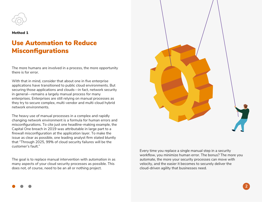

#### Method 1

### Use Automation to Reduce Misconfigurations

The more humans are involved in a process, the more opportunity there is for error.

With that in mind, consider that about one in five enterprise applications have transitioned to public cloud environments. But securing those applications and clouds—in fact, network security in general—remains a largely manual process for many enterprises. Enterprises are still relying on manual processes as they try to secure complex, multi-vendor and multi-cloud hybrid network environments.

The heavy use of manual processes in a complex and rapidly changing network environment is a formula for human errors and misconfigurations. To cite just one headline-making example, the Capital One breach in 2019 was attributable in large part to a firewall misconfiguration at the application layer. To make the issue as clear as possible, one leading analyst firm stated bluntly that "Through 2025, 99% of cloud security failures will be the customer's fault."

The goal is to replace manual intervention with automation in as many aspects of your cloud security processes as possible. This does not, of course, need to be an all or nothing project.



Every time you replace a single manual step in a security workflow, you minimize human error. The bonus? The more you automate, the more your security processes can move with velocity, and the easier it becomes to securely deliver the cloud-driven agility that businesses need.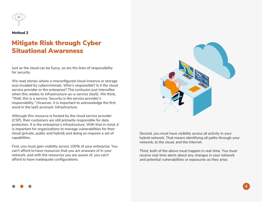

#### Method 2

### Mitigate Risk through Cyber Situational Awareness

Just as the cloud can be fuzzy, so are the lines of responsibility for security.

We read stories where a misconfigured cloud instance or storage was invaded by cybercriminals. Who's responsible? Is it the cloud service provider or the enterprise? The confusion just intensifies when this relates to infrastructure-as-a-service (IaaS). We think, "Well, this is a service. Security is the service provider's responsibility." However, it is important to acknowledge the first word in the IaaS acronym: Infrastructure.

Although this resource is hosted by the cloud service provider (CSP), their customers are still primarily responsible for data protection. It is the enterprise's infrastructure. With that in mind, it is important for organizations to manage vulnerabilities for their cloud (private, public and hybrid) and doing so requires a set of capabilities.

First, you must gain visibility across 100% of your enterprise. You can't afford to have resources that you are unaware of in your network, and with the resources you are aware of, you can't afford to have inadequate configurations.



Second, you must have visibility across all activity in your hybrid network. That means identifying all paths through your network, to the cloud, and the Internet.

Third, both of the above must happen in real-time. You must receive real-time alerts about any changes in your network and potential vulnerabilities or exposures as they arise.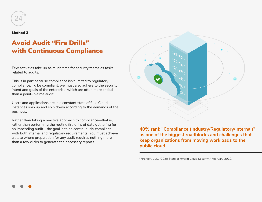

#### Method 3

## Avoid Audit "Fire Drills" with Continuous Compliance

Few activities take up as much time for security teams as tasks related to audits.

This is in part because compliance isn't limited to regulatory compliance. To be compliant, we must also adhere to the security intent and goals of the enterprise, which are often more critical than a point-in-time audit.

Users and applications are in a constant state of flux. Cloud instances spin up and spin down according to the demands of the business.

Rather than taking a reactive approach to compliance—that is, rather than performing the routine fire drills of data gathering for an impending audit—the goal is to be continuously compliant with both internal and regulatory requirements. You must achieve a state where preparation for any audit requires nothing more than a few clicks to generate the necessary reports.



**40% rank "Compliance (Industry/Regulatory/Internal)" as one of the biggest roadblocks and challenges that keep organizations from moving workloads to the public cloud.**

\*FireMon, LLC. "2020 State of Hybrid Cloud Security." February 2020.